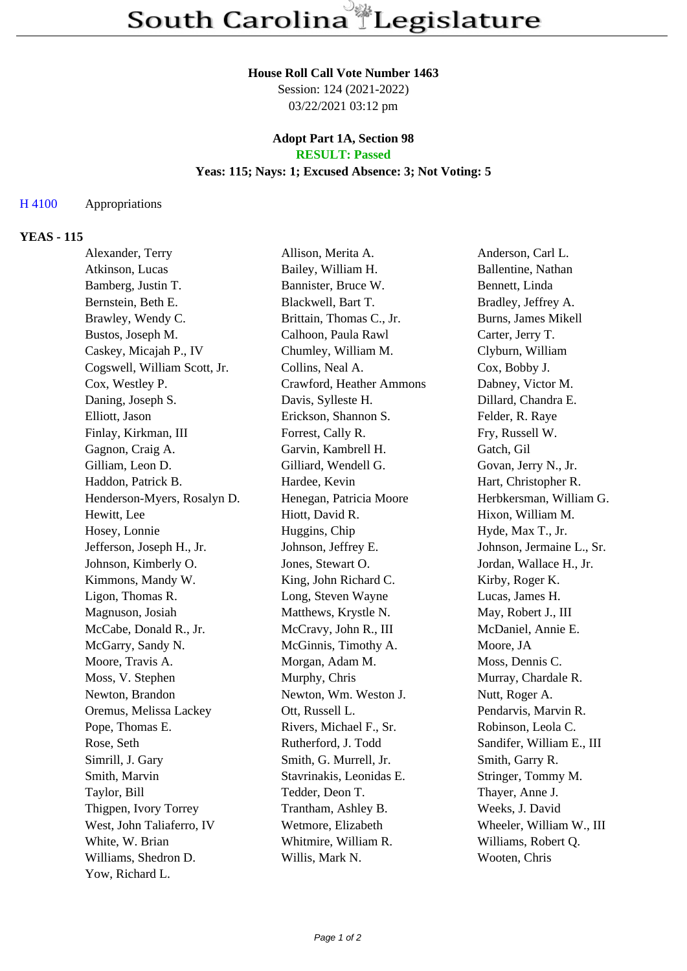#### **House Roll Call Vote Number 1463**

Session: 124 (2021-2022) 03/22/2021 03:12 pm

#### **Adopt Part 1A, Section 98 RESULT: Passed**

# **Yeas: 115; Nays: 1; Excused Absence: 3; Not Voting: 5**

## H 4100 Appropriations

#### **YEAS - 115**

| Alexander, Terry             | Allison, Merita A.       | Anderson, Carl L.         |
|------------------------------|--------------------------|---------------------------|
| Atkinson, Lucas              | Bailey, William H.       | Ballentine, Nathan        |
| Bamberg, Justin T.           | Bannister, Bruce W.      | Bennett, Linda            |
| Bernstein, Beth E.           | Blackwell, Bart T.       | Bradley, Jeffrey A.       |
| Brawley, Wendy C.            | Brittain, Thomas C., Jr. | Burns, James Mikell       |
| Bustos, Joseph M.            | Calhoon, Paula Rawl      | Carter, Jerry T.          |
| Caskey, Micajah P., IV       | Chumley, William M.      | Clyburn, William          |
| Cogswell, William Scott, Jr. | Collins, Neal A.         | Cox, Bobby J.             |
| Cox, Westley P.              | Crawford, Heather Ammons | Dabney, Victor M.         |
| Daning, Joseph S.            | Davis, Sylleste H.       | Dillard, Chandra E.       |
| Elliott, Jason               | Erickson, Shannon S.     | Felder, R. Raye           |
| Finlay, Kirkman, III         | Forrest, Cally R.        | Fry, Russell W.           |
| Gagnon, Craig A.             | Garvin, Kambrell H.      | Gatch, Gil                |
| Gilliam, Leon D.             | Gilliard, Wendell G.     | Govan, Jerry N., Jr.      |
| Haddon, Patrick B.           | Hardee, Kevin            | Hart, Christopher R.      |
| Henderson-Myers, Rosalyn D.  | Henegan, Patricia Moore  | Herbkersman, William G.   |
| Hewitt, Lee                  | Hiott, David R.          | Hixon, William M.         |
| Hosey, Lonnie                | Huggins, Chip            | Hyde, Max T., Jr.         |
| Jefferson, Joseph H., Jr.    | Johnson, Jeffrey E.      | Johnson, Jermaine L., Sr. |
| Johnson, Kimberly O.         | Jones, Stewart O.        | Jordan, Wallace H., Jr.   |
| Kimmons, Mandy W.            | King, John Richard C.    | Kirby, Roger K.           |
| Ligon, Thomas R.             | Long, Steven Wayne       | Lucas, James H.           |
| Magnuson, Josiah             | Matthews, Krystle N.     | May, Robert J., III       |
| McCabe, Donald R., Jr.       | McCravy, John R., III    | McDaniel, Annie E.        |
| McGarry, Sandy N.            | McGinnis, Timothy A.     | Moore, JA                 |
| Moore, Travis A.             | Morgan, Adam M.          | Moss, Dennis C.           |
| Moss, V. Stephen             | Murphy, Chris            | Murray, Chardale R.       |
| Newton, Brandon              | Newton, Wm. Weston J.    | Nutt, Roger A.            |
| Oremus, Melissa Lackey       | Ott, Russell L.          | Pendarvis, Marvin R.      |
| Pope, Thomas E.              | Rivers, Michael F., Sr.  | Robinson, Leola C.        |
| Rose, Seth                   | Rutherford, J. Todd      | Sandifer, William E., III |
| Simrill, J. Gary             | Smith, G. Murrell, Jr.   | Smith, Garry R.           |
| Smith, Marvin                | Stavrinakis, Leonidas E. | Stringer, Tommy M.        |
| Taylor, Bill                 | Tedder, Deon T.          | Thayer, Anne J.           |
| Thigpen, Ivory Torrey        | Trantham, Ashley B.      | Weeks, J. David           |
| West, John Taliaferro, IV    | Wetmore, Elizabeth       | Wheeler, William W., III  |
| White, W. Brian              | Whitmire, William R.     | Williams, Robert Q.       |
| Williams, Shedron D.         | Willis, Mark N.          | Wooten, Chris             |
| Yow, Richard L.              |                          |                           |